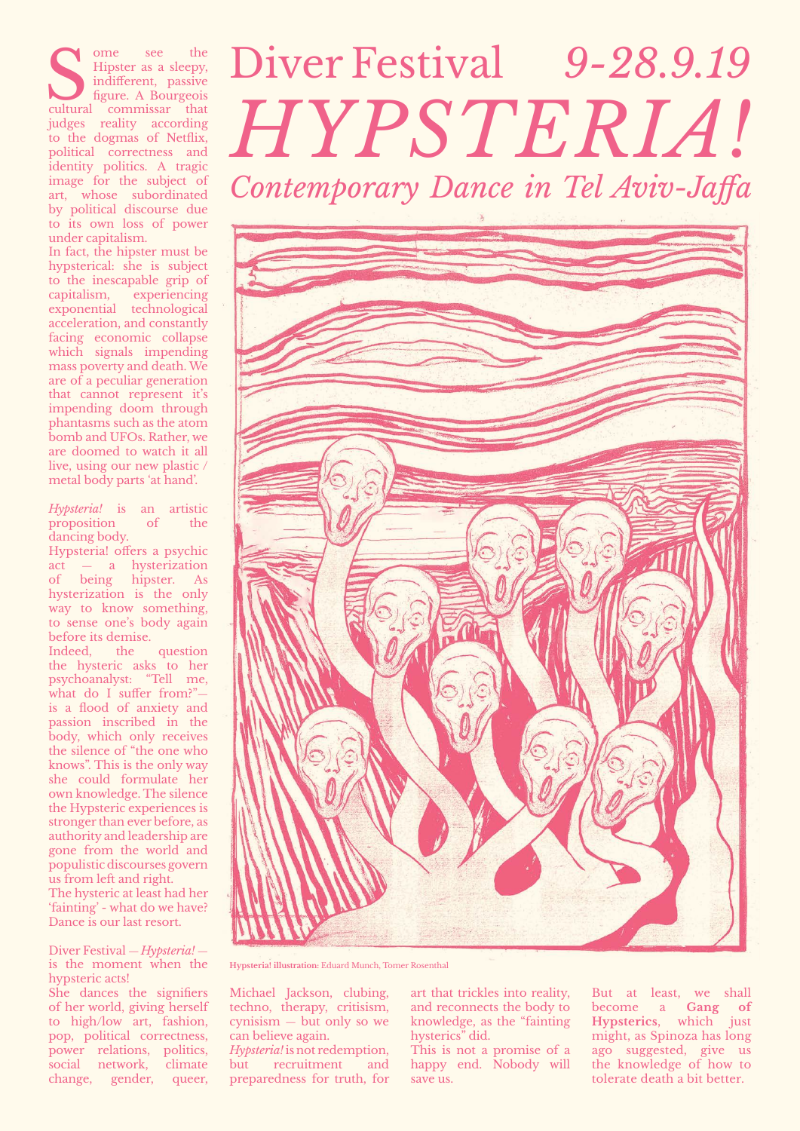ome see the Some see the Hipster as a sleepy, indifferent, passive figure. A Bourgeois cultural commissar that Hipster as a sleepy, indifferent, passive figure. A Bourgeois judges reality according to the dogmas of Netflix, political correctness and identity politics. A tragic image for the subject of art, whose subordinated by political discourse due to its own loss of power under capitalism.

In fact, the hipster must be hypsterical: she is subject to the inescapable grip of capitalism, experiencing exponential technological acceleration, and constantly facing economic collapse which signals impending mass poverty and death. We are of a peculiar generation that cannot represent it's impending doom through phantasms such as the atom bomb and UFOs. Rather, we are doomed to watch it all live, using our new plastic / metal body parts 'at hand'.

#### *Hypsteria*! is an artistic proposition of the dancing body.

Hypsteria! offers a psychic act — a hysterization of being hipster. As hysterization is the only way to know something, to sense one's body again before its demise.

Indeed, the question the hysteric asks to her psychoanalyst: "Tell me, what do I suffer from?"is a flood of anxiety and passion inscribed in the body, which only receives the silence of "the one who knows". This is the only way she could formulate her own knowledge. The silence the Hypsteric experiences is stronger than ever before, as authority and leadership are gone from the world and populistic discourses govern us from left and right. The hysteric at least had her 'fainting' - what do we have? Dance is our last resort.

# Diver Festival 9-28.9.19 Contemporary Dance in Tel Aviv-Jaffa *!Hypsteria*



Diver Festival — *Hypsteria!* is the moment when the hypsteric acts!

She dances the signifiers of her world, giving herself to high/low art, fashion, pop, political correctness, power relations, politics, social network, climate change, gender, queer, Hypsteria! illustration: Eduard Munch, Tomer Rosenthal

Michael Jackson, clubing, techno, therapy, critisism,  $c$ ynisism — but only so we can believe again. Hypsteria! is not redemption, but recruitment and

preparedness for truth, for

art that trickles into reality, and reconnects the body to knowledge, as the "fainting" hysterics" did.

This is not a promise of a happy end. Nobody will save us.

But at least, we shall become a **Gang** of Hypsterics, which just might, as Spinoza has long ago suggested, give us the knowledge of how to tolerate death a bit better.